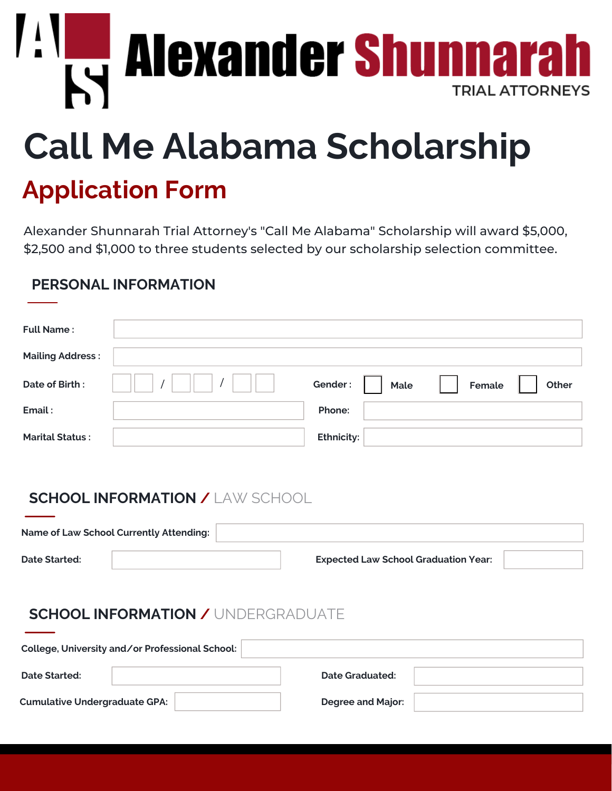**KY Alexander Shumnara TRIAL ATTORNEYS** 

# **Call Me Alabama Scholarship**

## **Application Form**

Alexander Shunnarah Trial Attorney's "Call Me Alabama" Scholarship will award \$5,000, \$2,500 and \$1,000 to three students selected by our scholarship selection committee.

#### **PERSONAL INFORMATION**

| <b>Full Name:</b>       |                   |        |       |
|-------------------------|-------------------|--------|-------|
| <b>Mailing Address:</b> |                   |        |       |
| Date of Birth:          | Gender:<br>Male   | Female | Other |
| Email:                  | Phone:            |        |       |
| <b>Marital Status:</b>  | <b>Ethnicity:</b> |        |       |

#### **SCHOOL INFORMATION /** LAW SCHOOL

| <b>Name of Law School Currently Attending:</b> |  |                                             |  |
|------------------------------------------------|--|---------------------------------------------|--|
| <b>Date Started:</b>                           |  | <b>Expected Law School Graduation Year:</b> |  |

#### **SCHOOL INFORMATION /** UNDERGRADUATE

| College, University and/or Professional School: |                          |  |  |  |  |  |  |  |
|-------------------------------------------------|--------------------------|--|--|--|--|--|--|--|
| Date Started:                                   | Date Graduated:          |  |  |  |  |  |  |  |
| <b>Cumulative Undergraduate GPA:</b>            | <b>Degree and Major:</b> |  |  |  |  |  |  |  |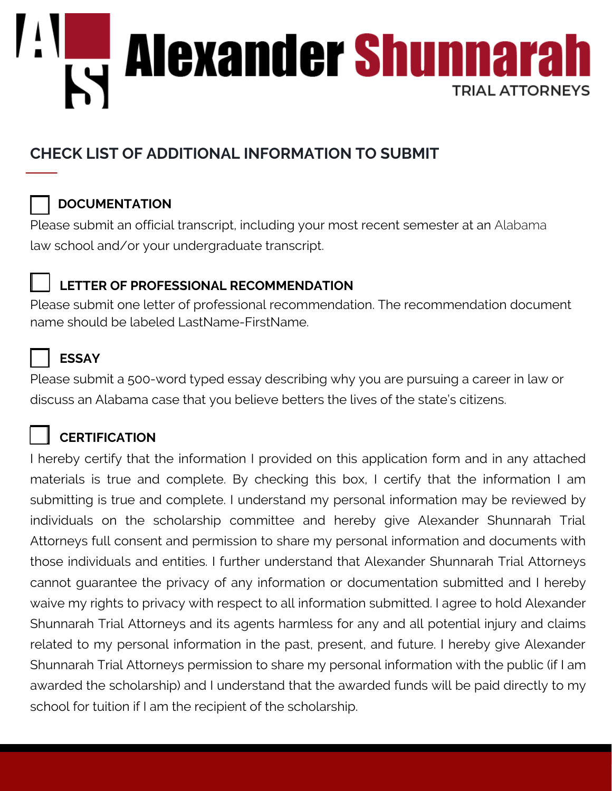

### **CHECK LIST OF ADDITIONAL INFORMATION TO SUBMIT**

#### **DOCUMENTATION**

Please submit an official transcript, including your most recent semester at an Alabama law school and/or your undergraduate transcript.

#### **LETTER OF PROFESSIONAL RECOMMENDATION**

Please submit one letter of professional recommendation. The recommendation document name should be labeled LastName-FirstName.



#### **ESSAY**

Please submit a 500-word typed essay describing why you are pursuing a career in law or discuss an Alabama case that you believe betters the lives of the state's citizens.

#### **CERTIFICATION**

I hereby certify that the information I provided on this application form and in any attached materials is true and complete. By checking this box, I certify that the information I am submitting is true and complete. I understand my personal information may be reviewed by individuals on the scholarship committee and hereby give Alexander Shunnarah Trial Attorneys full consent and permission to share my personal information and documents with those individuals and entities. I further understand that Alexander Shunnarah Trial Attorneys cannot guarantee the privacy of any information or documentation submitted and I hereby waive my rights to privacy with respect to all information submitted. I agree to hold Alexander Shunnarah Trial Attorneys and its agents harmless for any and all potential injury and claims related to my personal information in the past, present, and future. I hereby give Alexander Shunnarah Trial Attorneys permission to share my personal information with the public (if I am awarded the scholarship) and I understand that the awarded funds will be paid directly to my school for tuition if I am the recipient of the scholarship.